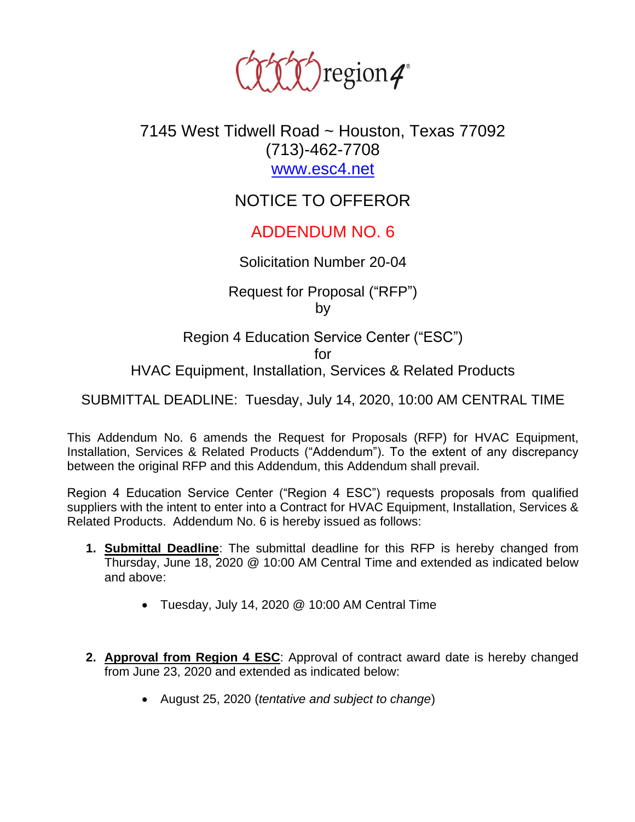

## 7145 West Tidwell Road ~ Houston, Texas 77092 (713)-462-7708 [www.esc4.net](http://www.esc4.net/)

# NOTICE TO OFFEROR

## ADDENDUM NO. 6

#### Solicitation Number 20-04

Request for Proposal ("RFP") by

Region 4 Education Service Center ("ESC") for HVAC Equipment, Installation, Services & Related Products

SUBMITTAL DEADLINE: Tuesday, July 14, 2020, 10:00 AM CENTRAL TIME

This Addendum No. 6 amends the Request for Proposals (RFP) for HVAC Equipment, Installation, Services & Related Products ("Addendum"). To the extent of any discrepancy between the original RFP and this Addendum, this Addendum shall prevail.

Region 4 Education Service Center ("Region 4 ESC") requests proposals from qualified suppliers with the intent to enter into a Contract for HVAC Equipment, Installation, Services & Related Products. Addendum No. 6 is hereby issued as follows:

- **1. Submittal Deadline**: The submittal deadline for this RFP is hereby changed from Thursday, June 18, 2020 @ 10:00 AM Central Time and extended as indicated below and above:
	- Tuesday, July 14, 2020 @ 10:00 AM Central Time
- **2. Approval from Region 4 ESC**: Approval of contract award date is hereby changed from June 23, 2020 and extended as indicated below:
	- August 25, 2020 (*tentative and subject to change*)